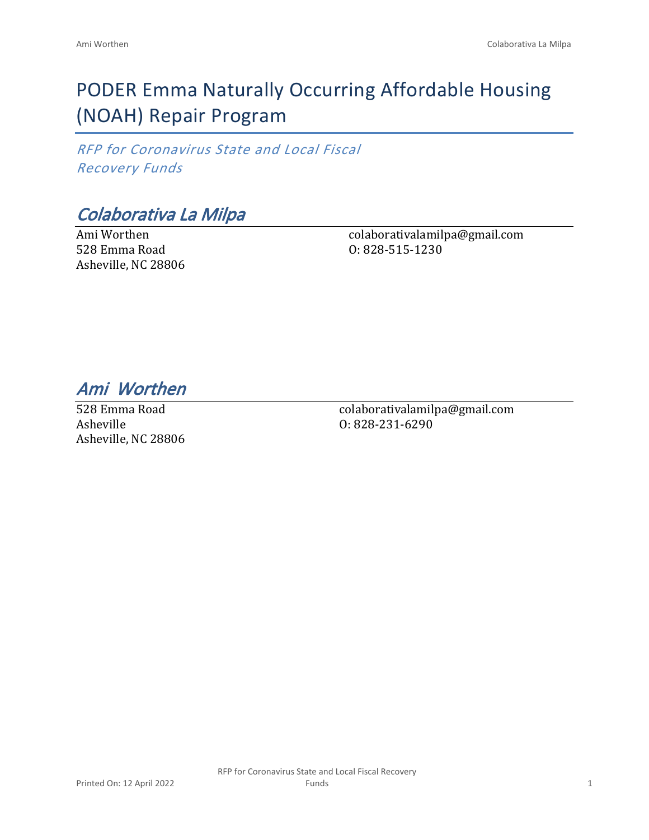# PODER Emma Naturally Occurring Affordable Housing (NOAH) Repair Program

*RFP for Coronavirus State and Local Fiscal Recovery Funds*

### *Colaborativa La Milpa*

Ami Worthen 528 Emma Road Asheville, NC 28806 colaborativalamilpa@gmail.com O: 828-515-1230

*Ami Worthen* 

528 Emma Road Asheville Asheville, NC 28806 colaborativalamilpa@gmail.com O: 828-231-6290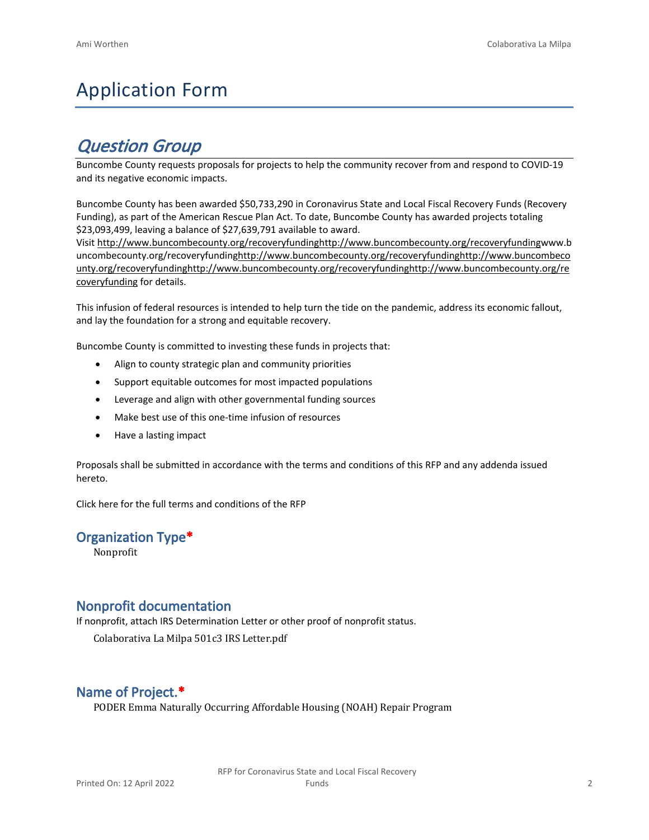## Application Form

### *Question Group*

Buncombe County requests proposals for projects to help the community recover from and respond to COVID-19 and its negative economic impacts.

Buncombe County has been awarded \$50,733,290 in Coronavirus State and Local Fiscal Recovery Funds (Recovery Funding), as part of the American Rescue Plan Act. To date, Buncombe County has awarded projects totaling \$23,093,499, leaving a balance of \$27,639,791 available to award.

Visit [http://www.buncombecounty.org/recoveryfundinghttp://www.buncombecounty.org/recoveryfundingwww.b](http://www.buncombecounty.org/recoveryfunding) [uncombecounty.org/recoveryfundinghttp://www.buncombecounty.org/recoveryfundinghttp://www.buncombeco](http://www.buncombecounty.org/recoveryfunding) [unty.org/recoveryfundinghttp://www.buncombecounty.org/recoveryfundinghttp://www.buncombecounty.org/re](http://www.buncombecounty.org/recoveryfunding) [coveryfunding](http://www.buncombecounty.org/recoveryfunding) for details.

This infusion of federal resources is intended to help turn the tide on the pandemic, address its economic fallout, and lay the foundation for a strong and equitable recovery.

Buncombe County is committed to investing these funds in projects that:

- Align to county strategic plan and community priorities
- Support equitable outcomes for most impacted populations
- Leverage and align with other governmental funding sources
- Make best use of this one-time infusion of resources
- Have a lasting impact

Proposals shall be submitted in accordance with the terms and conditions of this RFP and any addenda issued hereto.

Click [here](https://www.buncombecounty.org/common/purchasing/Buncombe%20Recovery%20Funding%20RFP%202022.pdf) for the full terms and conditions of the RFP

#### **Organization Type\***

Nonprofit

#### **Nonprofit documentation**

If nonprofit, attach IRS Determination Letter or other proof of nonprofit status.

Colaborativa La Milpa 501c3 IRS Letter.pdf

#### **Name of Project.\***

PODER Emma Naturally Occurring Affordable Housing (NOAH) Repair Program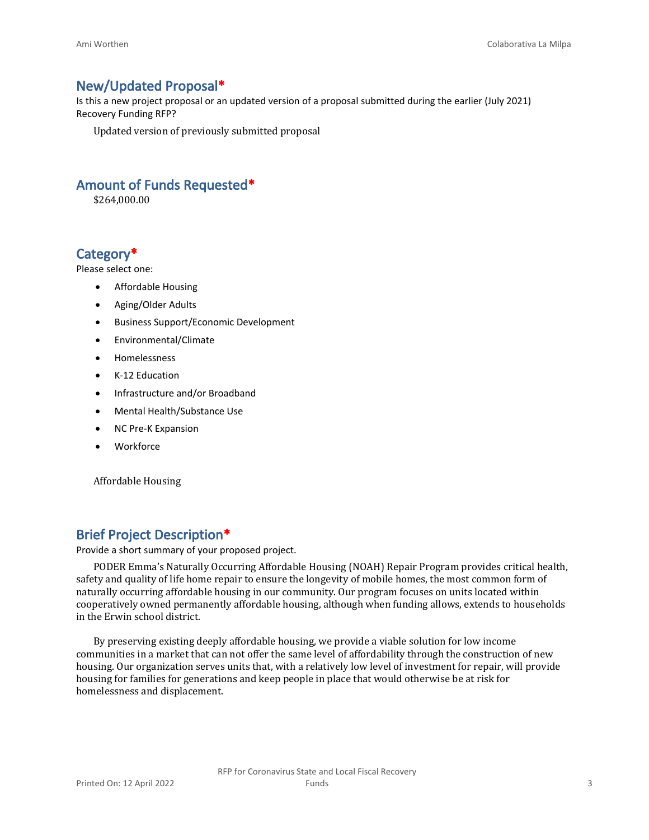#### **New/Updated Proposal\***

Is this a new project proposal or an updated version of a proposal submitted during the earlier (July 2021) Recovery Funding RFP?

Updated version of previously submitted proposal

#### **Amount of Funds Requested\***

\$264,000.00

#### **Category\***

Please select one:

- Affordable Housing
- Aging/Older Adults
- Business Support/Economic Development
- Environmental/Climate
- Homelessness
- K-12 Education
- Infrastructure and/or Broadband
- Mental Health/Substance Use
- NC Pre-K Expansion
- Workforce

Affordable Housing

#### **Brief Project Description\***

Provide a short summary of your proposed project.

PODER Emma's Naturally Occurring Affordable Housing (NOAH) Repair Program provides critical health, safety and quality of life home repair to ensure the longevity of mobile homes, the most common form of naturally occurring affordable housing in our community. Our program focuses on units located within cooperatively owned permanently affordable housing, although when funding allows, extends to households in the Erwin school district.

By preserving existing deeply affordable housing, we provide a viable solution for low income communities in a market that can not offer the same level of affordability through the construction of new housing. Our organization serves units that, with a relatively low level of investment for repair, will provide housing for families for generations and keep people in place that would otherwise be at risk for homelessness and displacement.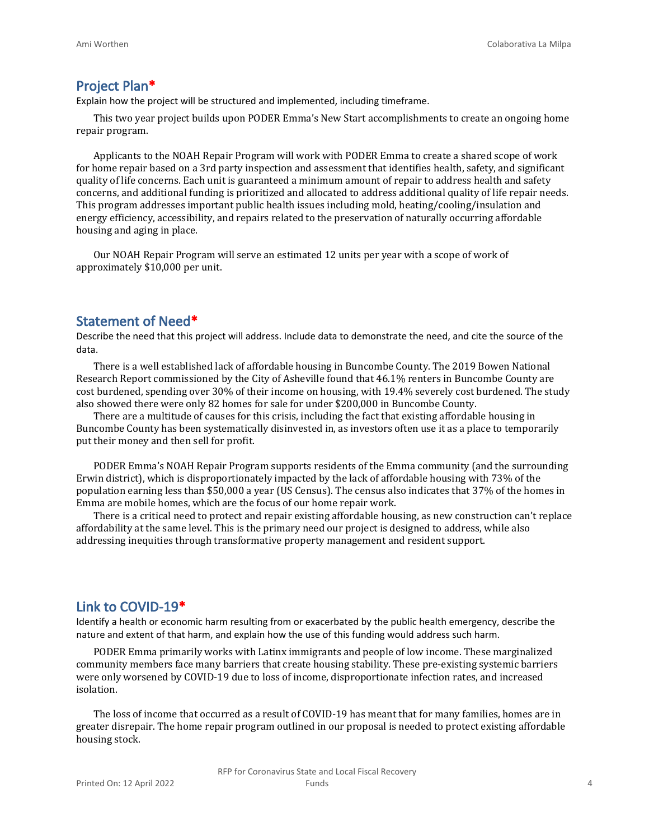#### **Project Plan\***

Explain how the project will be structured and implemented, including timeframe.

This two year project builds upon PODER Emma's New Start accomplishments to create an ongoing home repair program.

Applicants to the NOAH Repair Program will work with PODER Emma to create a shared scope of work for home repair based on a 3rd party inspection and assessment that identifies health, safety, and significant quality of life concerns. Each unit is guaranteed a minimum amount of repair to address health and safety concerns, and additional funding is prioritized and allocated to address additional quality of life repair needs. This program addresses important public health issues including mold, heating/cooling/insulation and energy efficiency, accessibility, and repairs related to the preservation of naturally occurring affordable housing and aging in place.

Our NOAH Repair Program will serve an estimated 12 units per year with a scope of work of approximately \$10,000 per unit.

#### **Statement of Need\***

Describe the need that this project will address. Include data to demonstrate the need, and cite the source of the data.

There is a well established lack of affordable housing in Buncombe County. The 2019 Bowen National Research Report commissioned by the City of Asheville found that 46.1% renters in Buncombe County are cost burdened, spending over 30% of their income on housing, with 19.4% severely cost burdened. The study also showed there were only 82 homes for sale for under \$200,000 in Buncombe County.

There are a multitude of causes for this crisis, including the fact that existing affordable housing in Buncombe County has been systematically disinvested in, as investors often use it as a place to temporarily put their money and then sell for profit.

PODER Emma's NOAH Repair Program supports residents of the Emma community (and the surrounding Erwin district), which is disproportionately impacted by the lack of affordable housing with 73% of the population earning less than \$50,000 a year (US Census). The census also indicates that 37% of the homes in Emma are mobile homes, which are the focus of our home repair work.

There is a critical need to protect and repair existing affordable housing, as new construction can't replace affordability at the same level. This is the primary need our project is designed to address, while also addressing inequities through transformative property management and resident support.

#### **Link to COVID-19\***

Identify a health or economic harm resulting from or exacerbated by the public health emergency, describe the nature and extent of that harm, and explain how the use of this funding would address such harm.

PODER Emma primarily works with Latinx immigrants and people of low income. These marginalized community members face many barriers that create housing stability. These pre-existing systemic barriers were only worsened by COVID-19 due to loss of income, disproportionate infection rates, and increased isolation.

The loss of income that occurred as a result of COVID-19 has meant that for many families, homes are in greater disrepair. The home repair program outlined in our proposal is needed to protect existing affordable housing stock.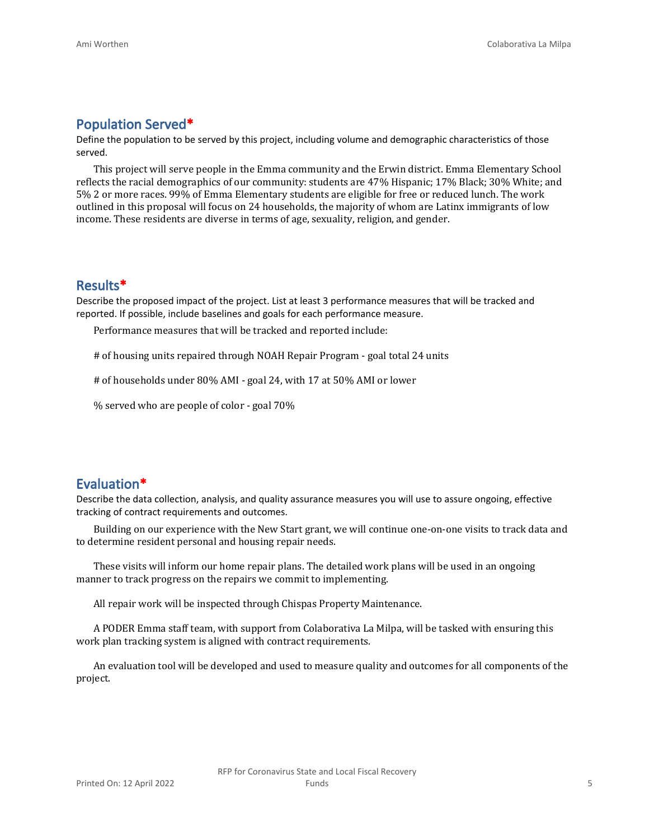#### **Population Served\***

Define the population to be served by this project, including volume and demographic characteristics of those served.

This project will serve people in the Emma community and the Erwin district. Emma Elementary School reflects the racial demographics of our community: students are 47% Hispanic; 17% Black; 30% White; and 5% 2 or more races. 99% of Emma Elementary students are eligible for free or reduced lunch. The work outlined in this proposal will focus on 24 households, the majority of whom are Latinx immigrants of low income. These residents are diverse in terms of age, sexuality, religion, and gender.

#### **Results\***

Describe the proposed impact of the project. List at least 3 performance measures that will be tracked and reported. If possible, include baselines and goals for each performance measure.

Performance measures that will be tracked and reported include:

# of housing units repaired through NOAH Repair Program - goal total 24 units

# of households under 80% AMI - goal 24, with 17 at 50% AMI or lower

% served who are people of color - goal 70%

#### **Evaluation\***

Describe the data collection, analysis, and quality assurance measures you will use to assure ongoing, effective tracking of contract requirements and outcomes.

Building on our experience with the New Start grant, we will continue one-on-one visits to track data and to determine resident personal and housing repair needs.

These visits will inform our home repair plans. The detailed work plans will be used in an ongoing manner to track progress on the repairs we commit to implementing.

All repair work will be inspected through Chispas Property Maintenance.

A PODER Emma staff team, with support from Colaborativa La Milpa, will be tasked with ensuring this work plan tracking system is aligned with contract requirements.

An evaluation tool will be developed and used to measure quality and outcomes for all components of the project.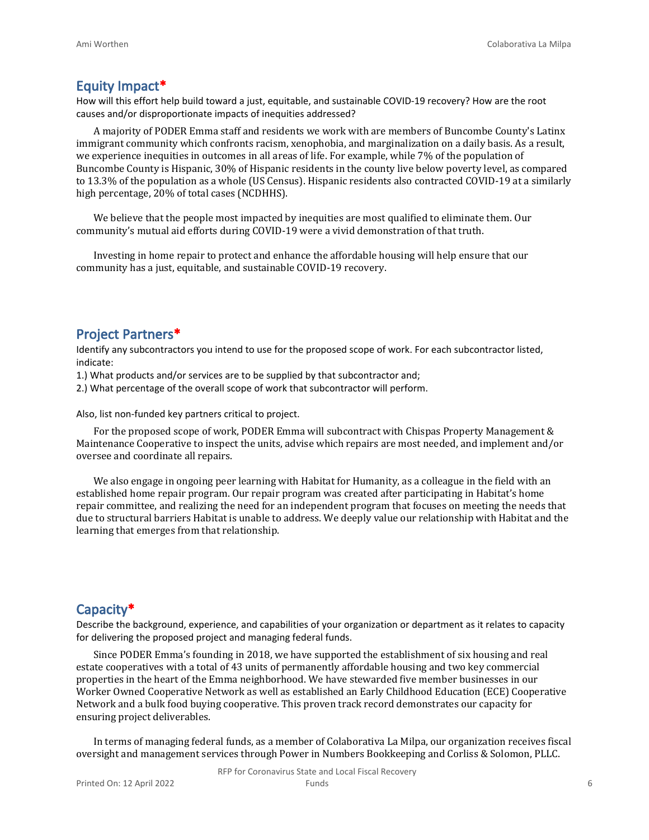#### **Equity Impact\***

How will this effort help build toward a just, equitable, and sustainable COVID-19 recovery? How are the root causes and/or disproportionate impacts of inequities addressed?

A majority of PODER Emma staff and residents we work with are members of Buncombe County's Latinx immigrant community which confronts racism, xenophobia, and marginalization on a daily basis. As a result, we experience inequities in outcomes in all areas of life. For example, while 7% of the population of Buncombe County is Hispanic, 30% of Hispanic residents in the county live below poverty level, as compared to 13.3% of the population as a whole (US Census). Hispanic residents also contracted COVID-19 at a similarly high percentage, 20% of total cases (NCDHHS).

We believe that the people most impacted by inequities are most qualified to eliminate them. Our community's mutual aid efforts during COVID-19 were a vivid demonstration of that truth.

Investing in home repair to protect and enhance the affordable housing will help ensure that our community has a just, equitable, and sustainable COVID-19 recovery.

#### **Project Partners\***

Identify any subcontractors you intend to use for the proposed scope of work. For each subcontractor listed, indicate:

1.) What products and/or services are to be supplied by that subcontractor and;

2.) What percentage of the overall scope of work that subcontractor will perform.

Also, list non-funded key partners critical to project.

For the proposed scope of work, PODER Emma will subcontract with Chispas Property Management & Maintenance Cooperative to inspect the units, advise which repairs are most needed, and implement and/or oversee and coordinate all repairs.

We also engage in ongoing peer learning with Habitat for Humanity, as a colleague in the field with an established home repair program. Our repair program was created after participating in Habitat's home repair committee, and realizing the need for an independent program that focuses on meeting the needs that due to structural barriers Habitat is unable to address. We deeply value our relationship with Habitat and the learning that emerges from that relationship.

#### **Capacity\***

Describe the background, experience, and capabilities of your organization or department as it relates to capacity for delivering the proposed project and managing federal funds.

Since PODER Emma's founding in 2018, we have supported the establishment of six housing and real estate cooperatives with a total of 43 units of permanently affordable housing and two key commercial properties in the heart of the Emma neighborhood. We have stewarded five member businesses in our Worker Owned Cooperative Network as well as established an Early Childhood Education (ECE) Cooperative Network and a bulk food buying cooperative. This proven track record demonstrates our capacity for ensuring project deliverables.

In terms of managing federal funds, as a member of Colaborativa La Milpa, our organization receives fiscal oversight and management services through Power in Numbers Bookkeeping and Corliss & Solomon, PLLC.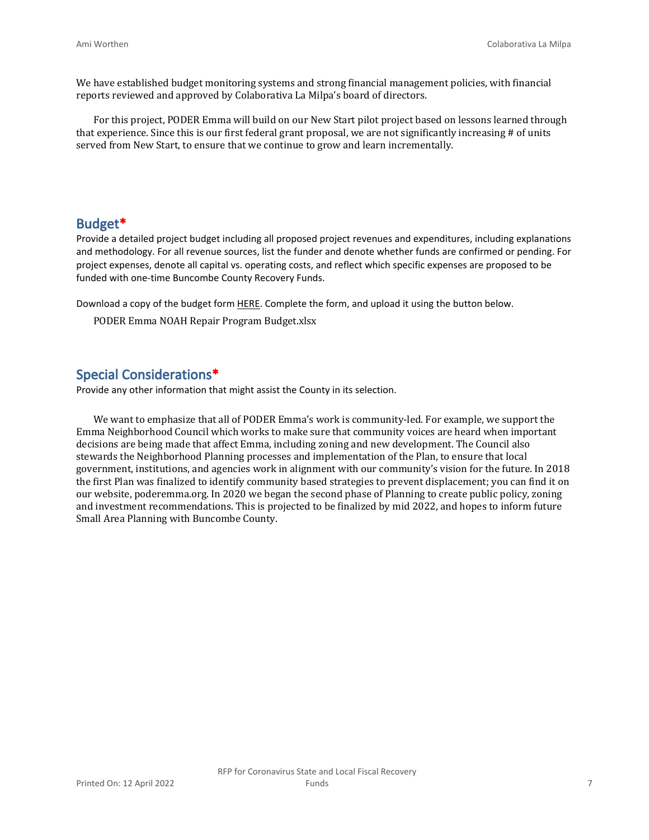We have established budget monitoring systems and strong financial management policies, with financial reports reviewed and approved by Colaborativa La Milpa's board of directors.

For this project, PODER Emma will build on our New Start pilot project based on lessons learned through that experience. Since this is our first federal grant proposal, we are not significantly increasing # of units served from New Start, to ensure that we continue to grow and learn incrementally.

#### **Budget\***

Provide a detailed project budget including all proposed project revenues and expenditures, including explanations and methodology. For all revenue sources, list the funder and denote whether funds are confirmed or pending. For project expenses, denote all capital vs. operating costs, and reflect which specific expenses are proposed to be funded with one-time Buncombe County Recovery Funds.

Download a copy of the budget form [HERE](https://buncombecounty.org/common/community-investment/grants/early-childhood-education/Recovery-Funds-budget-template.xlsx). Complete the form, and upload it using the button below.

PODER Emma NOAH Repair Program Budget.xlsx

#### **Special Considerations\***

Provide any other information that might assist the County in its selection.

We want to emphasize that all of PODER Emma's work is community-led. For example, we support the Emma Neighborhood Council which works to make sure that community voices are heard when important decisions are being made that affect Emma, including zoning and new development. The Council also stewards the Neighborhood Planning processes and implementation of the Plan, to ensure that local government, institutions, and agencies work in alignment with our community's vision for the future. In 2018 the first Plan was finalized to identify community based strategies to prevent displacement; you can find it on our website, poderemma.org. In 2020 we began the second phase of Planning to create public policy, zoning and investment recommendations. This is projected to be finalized by mid 2022, and hopes to inform future Small Area Planning with Buncombe County.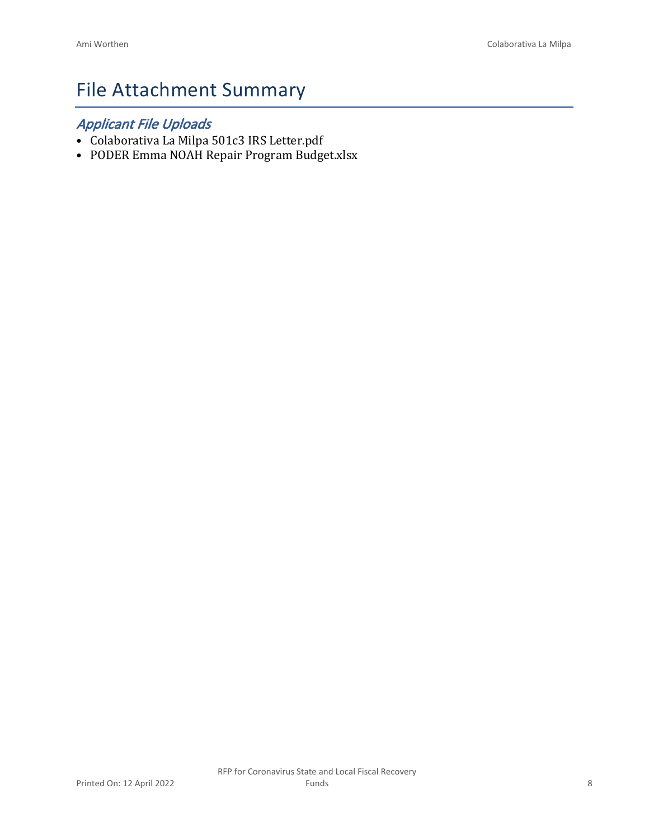## File Attachment Summary

### *Applicant File Uploads*

- Colaborativa La Milpa 501c3 IRS Letter.pdf
- PODER Emma NOAH Repair Program Budget.xlsx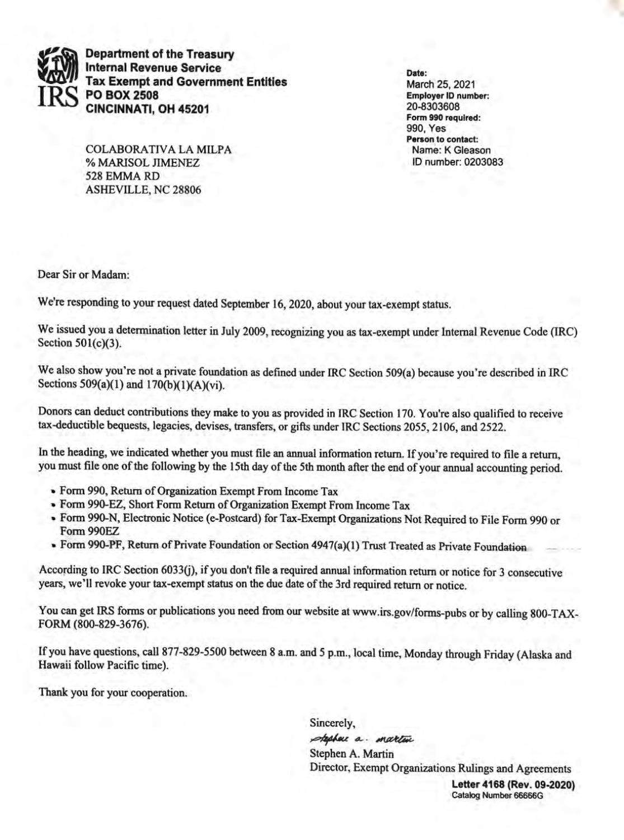

**Department of the Treasury Internal Revenue Service Tax Exempt and Government Entities PO BOX 2508** CINCINNATI, OH 45201

**COLABORATIVA LA MILPA** % MARISOL JIMENEZ 528 EMMA RD **ASHEVILLE, NC 28806** 

Date: March 25, 2021 **Employer ID number:** 20-8303608 Form 990 required: 990. Yes Person to contact: Name: K Gleason ID number: 0203083

Dear Sir or Madam:

We're responding to your request dated September 16, 2020, about your tax-exempt status.

We issued you a determination letter in July 2009, recognizing you as tax-exempt under Internal Revenue Code (IRC) Section 501(c)(3).

We also show you're not a private foundation as defined under IRC Section 509(a) because you're described in IRC Sections 509(a)(1) and 170(b)(1)(A)(vi).

Donors can deduct contributions they make to you as provided in IRC Section 170. You're also qualified to receive tax-deductible bequests, legacies, devises, transfers, or gifts under IRC Sections 2055, 2106, and 2522.

In the heading, we indicated whether you must file an annual information return. If you're required to file a return, you must file one of the following by the 15th day of the 5th month after the end of your annual accounting period.

- Form 990, Return of Organization Exempt From Income Tax
- Form 990-EZ, Short Form Return of Organization Exempt From Income Tax
- Form 990-N, Electronic Notice (e-Postcard) for Tax-Exempt Organizations Not Required to File Form 990 or Form 990EZ
- Form 990-PF, Return of Private Foundation or Section 4947(a)(1) Trust Treated as Private Foundation

According to IRC Section 6033(j), if you don't file a required annual information return or notice for 3 consecutive years, we'll revoke your tax-exempt status on the due date of the 3rd required return or notice.

You can get IRS forms or publications you need from our website at www.irs.gov/forms-pubs or by calling 800-TAX-FORM (800-829-3676).

If you have questions, call 877-829-5500 between 8 a.m. and 5 p.m., local time, Monday through Friday (Alaska and Hawaii follow Pacific time).

Thank you for your cooperation.

Sincerely, stephen a martin Stephen A. Martin Director, Exempt Organizations Rulings and Agreements

Letter 4168 (Rev. 09-2020) Catalog Number 66666G